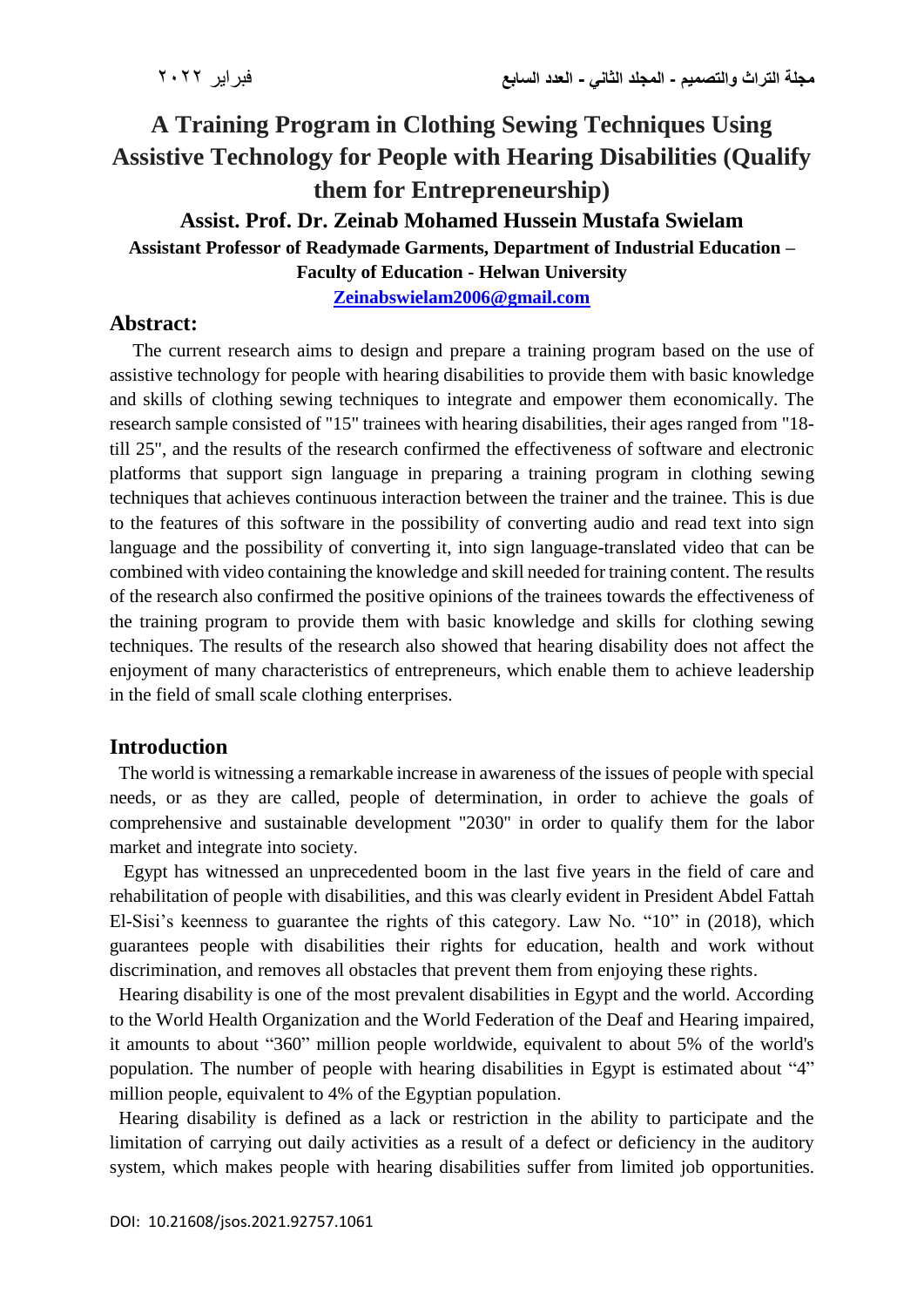# **A Training Program in Clothing Sewing Techniques Using Assistive Technology for People with Hearing Disabilities (Qualify them for Entrepreneurship)**

#### **Assist. Prof. Dr. Zeinab Mohamed Hussein Mustafa Swielam**

**Assistant Professor of Readymade Garments, Department of Industrial Education –**

**Faculty of Education - Helwan University**

**[Zeinabswielam2006@gmail.com](mailto:Zeinabswielam2006@gmail.com)**

#### **Abstract:**

 The current research aims to design and prepare a training program based on the use of assistive technology for people with hearing disabilities to provide them with basic knowledge and skills of clothing sewing techniques to integrate and empower them economically. The research sample consisted of "15" trainees with hearing disabilities, their ages ranged from "18 till 25", and the results of the research confirmed the effectiveness of software and electronic platforms that support sign language in preparing a training program in clothing sewing techniques that achieves continuous interaction between the trainer and the trainee. This is due to the features of this software in the possibility of converting audio and read text into sign language and the possibility of converting it, into sign language-translated video that can be combined with video containing the knowledge and skill needed for training content. The results of the research also confirmed the positive opinions of the trainees towards the effectiveness of the training program to provide them with basic knowledge and skills for clothing sewing techniques. The results of the research also showed that hearing disability does not affect the enjoyment of many characteristics of entrepreneurs, which enable them to achieve leadership in the field of small scale clothing enterprises.

### **Introduction**

 The world is witnessing a remarkable increase in awareness of the issues of people with special needs, or as they are called, people of determination, in order to achieve the goals of comprehensive and sustainable development "2030" in order to qualify them for the labor market and integrate into society.

 Egypt has witnessed an unprecedented boom in the last five years in the field of care and rehabilitation of people with disabilities, and this was clearly evident in President Abdel Fattah El-Sisi's keenness to guarantee the rights of this category. Law No. "10" in (2018), which guarantees people with disabilities their rights for education, health and work without discrimination, and removes all obstacles that prevent them from enjoying these rights.

 Hearing disability is one of the most prevalent disabilities in Egypt and the world. According to the World Health Organization and the World Federation of the Deaf and Hearing impaired, it amounts to about "360" million people worldwide, equivalent to about 5% of the world's population. The number of people with hearing disabilities in Egypt is estimated about "4" million people, equivalent to 4% of the Egyptian population.

 Hearing disability is defined as a lack or restriction in the ability to participate and the limitation of carrying out daily activities as a result of a defect or deficiency in the auditory system, which makes people with hearing disabilities suffer from limited job opportunities.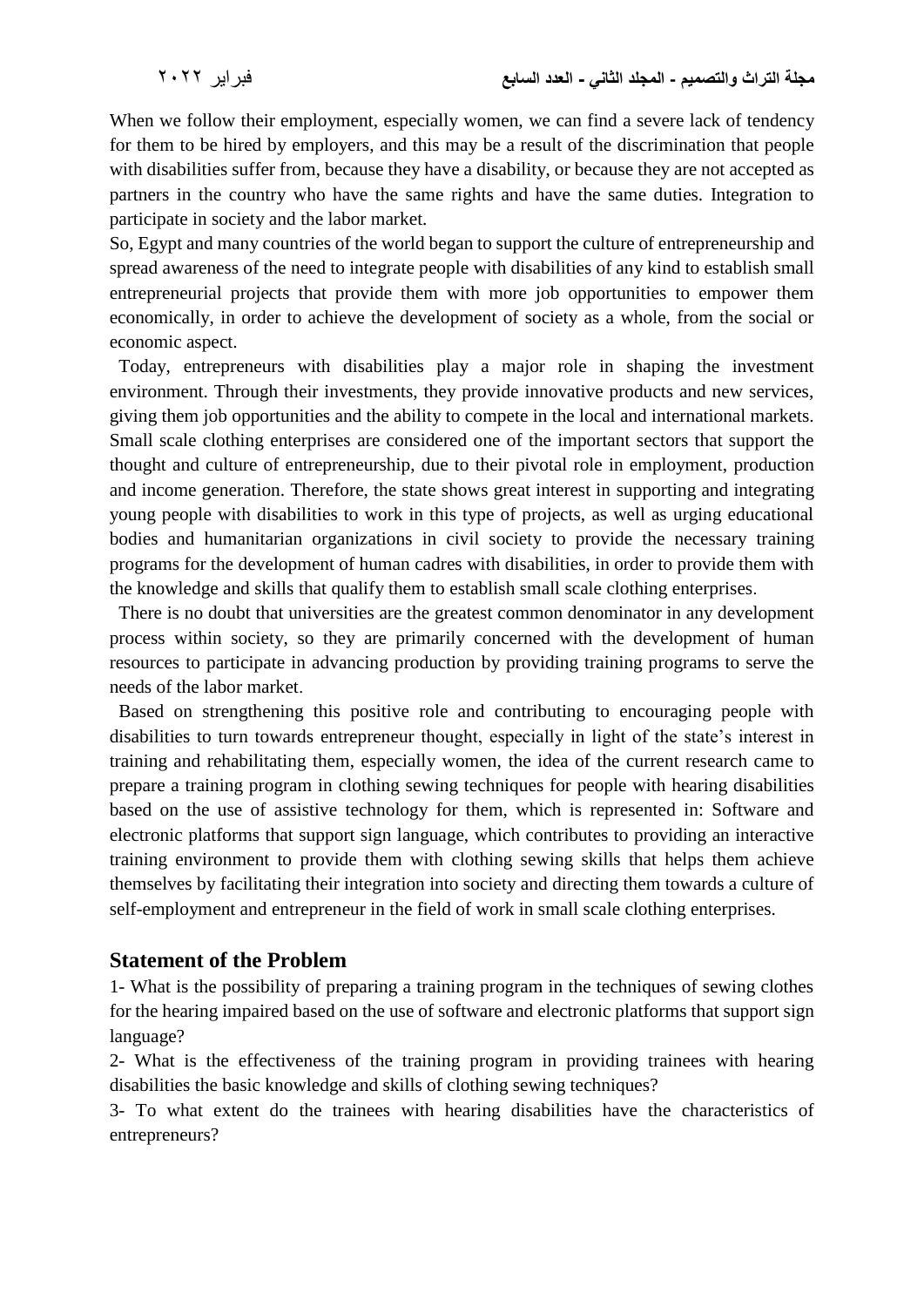When we follow their employment, especially women, we can find a severe lack of tendency for them to be hired by employers, and this may be a result of the discrimination that people with disabilities suffer from, because they have a disability, or because they are not accepted as partners in the country who have the same rights and have the same duties. Integration to participate in society and the labor market.

So, Egypt and many countries of the world began to support the culture of entrepreneurship and spread awareness of the need to integrate people with disabilities of any kind to establish small entrepreneurial projects that provide them with more job opportunities to empower them economically, in order to achieve the development of society as a whole, from the social or economic aspect.

 Today, entrepreneurs with disabilities play a major role in shaping the investment environment. Through their investments, they provide innovative products and new services, giving them job opportunities and the ability to compete in the local and international markets. Small scale clothing enterprises are considered one of the important sectors that support the thought and culture of entrepreneurship, due to their pivotal role in employment, production and income generation. Therefore, the state shows great interest in supporting and integrating young people with disabilities to work in this type of projects, as well as urging educational bodies and humanitarian organizations in civil society to provide the necessary training programs for the development of human cadres with disabilities, in order to provide them with the knowledge and skills that qualify them to establish small scale clothing enterprises.

 There is no doubt that universities are the greatest common denominator in any development process within society, so they are primarily concerned with the development of human resources to participate in advancing production by providing training programs to serve the needs of the labor market.

 Based on strengthening this positive role and contributing to encouraging people with disabilities to turn towards entrepreneur thought, especially in light of the state's interest in training and rehabilitating them, especially women, the idea of the current research came to prepare a training program in clothing sewing techniques for people with hearing disabilities based on the use of assistive technology for them, which is represented in: Software and electronic platforms that support sign language, which contributes to providing an interactive training environment to provide them with clothing sewing skills that helps them achieve themselves by facilitating their integration into society and directing them towards a culture of self-employment and entrepreneur in the field of work in small scale clothing enterprises.

### **Statement of the Problem**

1- What is the possibility of preparing a training program in the techniques of sewing clothes for the hearing impaired based on the use of software and electronic platforms that support sign language?

2- What is the effectiveness of the training program in providing trainees with hearing disabilities the basic knowledge and skills of clothing sewing techniques?

3- To what extent do the trainees with hearing disabilities have the characteristics of entrepreneurs?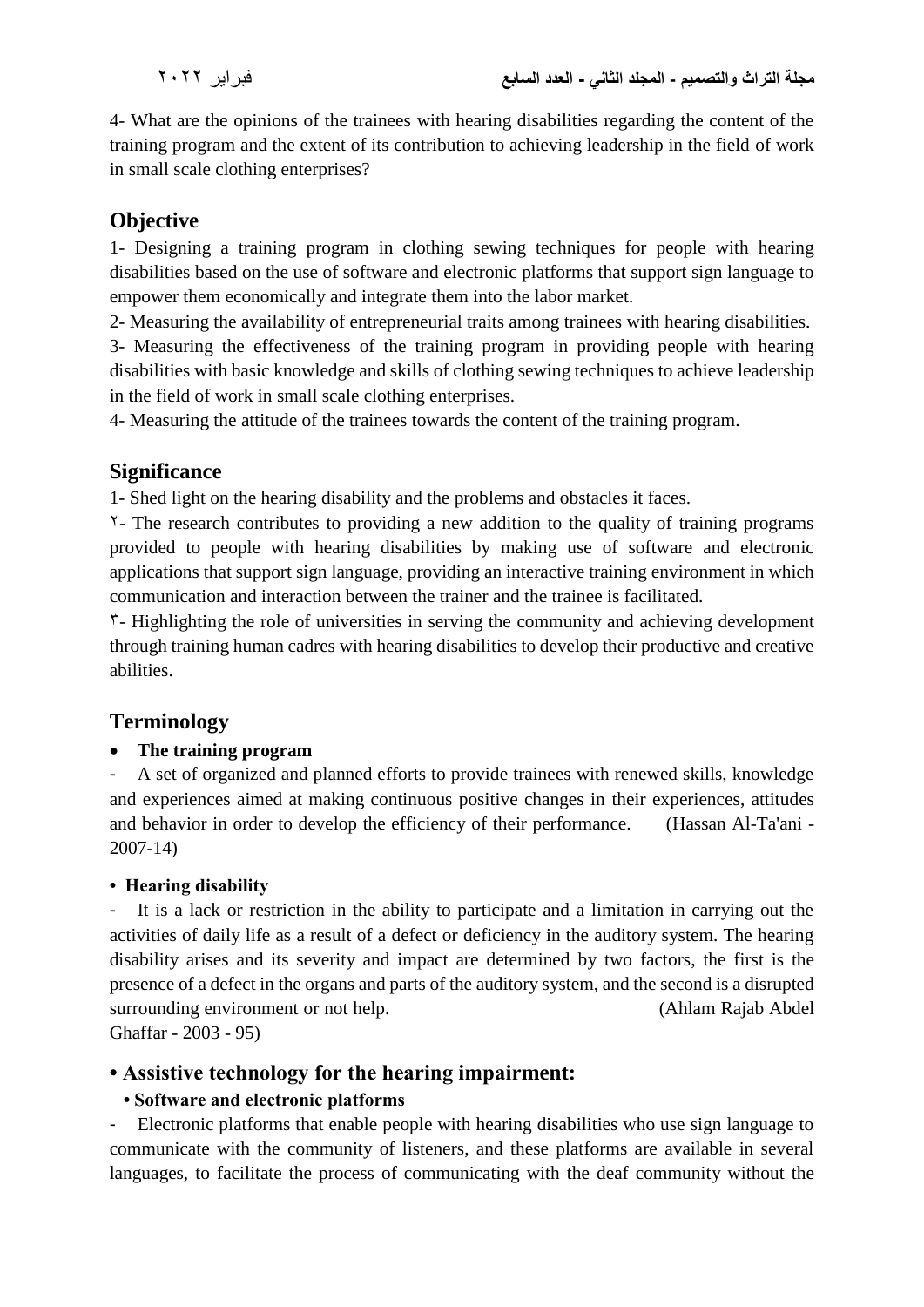4- What are the opinions of the trainees with hearing disabilities regarding the content of the training program and the extent of its contribution to achieving leadership in the field of work in small scale clothing enterprises?

# **Objective**

1- Designing a training program in clothing sewing techniques for people with hearing disabilities based on the use of software and electronic platforms that support sign language to empower them economically and integrate them into the labor market.

2- Measuring the availability of entrepreneurial traits among trainees with hearing disabilities.

3- Measuring the effectiveness of the training program in providing people with hearing disabilities with basic knowledge and skills of clothing sewing techniques to achieve leadership in the field of work in small scale clothing enterprises.

4- Measuring the attitude of the trainees towards the content of the training program.

### **Significance**

1- Shed light on the hearing disability and the problems and obstacles it faces.

2- The research contributes to providing a new addition to the quality of training programs provided to people with hearing disabilities by making use of software and electronic applications that support sign language, providing an interactive training environment in which communication and interaction between the trainer and the trainee is facilitated.

 $\mathcal{F}$ - Highlighting the role of universities in serving the community and achieving development through training human cadres with hearing disabilities to develop their productive and creative abilities.

# **Terminology**

### **The training program**

- A set of organized and planned efforts to provide trainees with renewed skills, knowledge and experiences aimed at making continuous positive changes in their experiences, attitudes and behavior in order to develop the efficiency of their performance. (Hassan Al-Ta'ani - 2007-14)

### **• Hearing disability**

It is a lack or restriction in the ability to participate and a limitation in carrying out the activities of daily life as a result of a defect or deficiency in the auditory system. The hearing disability arises and its severity and impact are determined by two factors, the first is the presence of a defect in the organs and parts of the auditory system, and the second is a disrupted surrounding environment or not help. (Ahlam Rajab Abdel) Ghaffar - 2003 - 95)

# **• Assistive technology for the hearing impairment:**

### **• Software and electronic platforms**

- Electronic platforms that enable people with hearing disabilities who use sign language to communicate with the community of listeners, and these platforms are available in several languages, to facilitate the process of communicating with the deaf community without the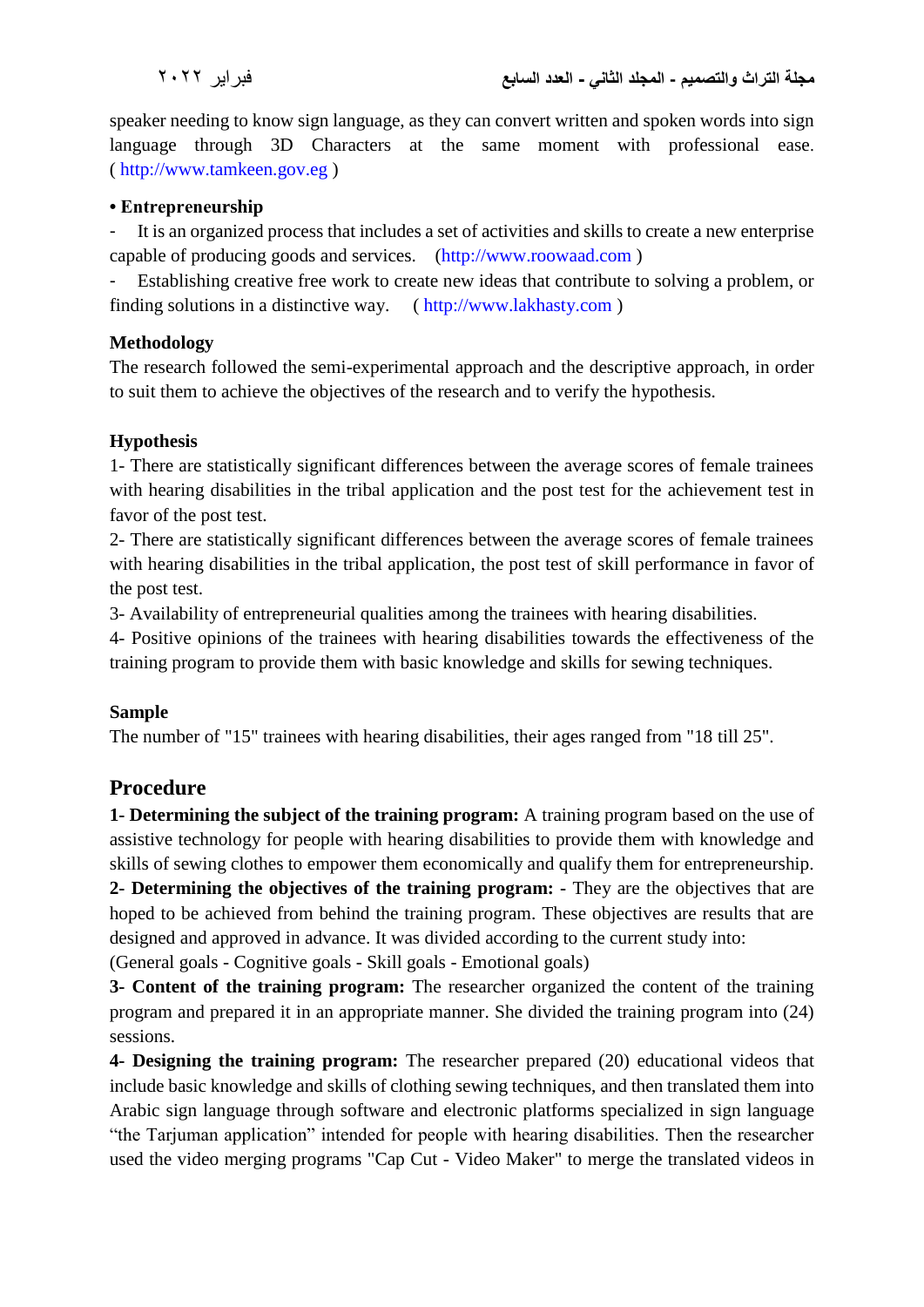speaker needing to know sign language, as they can convert written and spoken words into sign language through 3D Characters at the same moment with professional ease. ( [http://www.tamkeen.gov.eg](http://www.tamkeen.gov.eg/) )

#### **• Entrepreneurship**

It is an organized process that includes a set of activities and skills to create a new enterprise capable of producing goods and services. [\(http://www.roowaad.com](http://www.roowaad.com/) )

Establishing creative free work to create new ideas that contribute to solving a problem, or finding solutions in a distinctive way. ( [http://www.lakhasty.com](http://www.lakhasty.com/) )

#### **Methodology**

The research followed the semi-experimental approach and the descriptive approach, in order to suit them to achieve the objectives of the research and to verify the hypothesis.

### **Hypothesis**

1- There are statistically significant differences between the average scores of female trainees with hearing disabilities in the tribal application and the post test for the achievement test in favor of the post test.

2- There are statistically significant differences between the average scores of female trainees with hearing disabilities in the tribal application, the post test of skill performance in favor of the post test.

3- Availability of entrepreneurial qualities among the trainees with hearing disabilities.

4- Positive opinions of the trainees with hearing disabilities towards the effectiveness of the training program to provide them with basic knowledge and skills for sewing techniques.

### **Sample**

The number of "15" trainees with hearing disabilities, their ages ranged from "18 till 25".

### **Procedure**

**1- Determining the subject of the training program:** A training program based on the use of assistive technology for people with hearing disabilities to provide them with knowledge and skills of sewing clothes to empower them economically and qualify them for entrepreneurship. **2- Determining the objectives of the training program: -** They are the objectives that are hoped to be achieved from behind the training program. These objectives are results that are designed and approved in advance. It was divided according to the current study into:

(General goals - Cognitive goals - Skill goals - Emotional goals)

**3- Content of the training program:** The researcher organized the content of the training program and prepared it in an appropriate manner. She divided the training program into (24) sessions.

**4- Designing the training program:** The researcher prepared (20) educational videos that include basic knowledge and skills of clothing sewing techniques, and then translated them into Arabic sign language through software and electronic platforms specialized in sign language "the Tarjuman application" intended for people with hearing disabilities. Then the researcher used the video merging programs "Cap Cut - Video Maker" to merge the translated videos in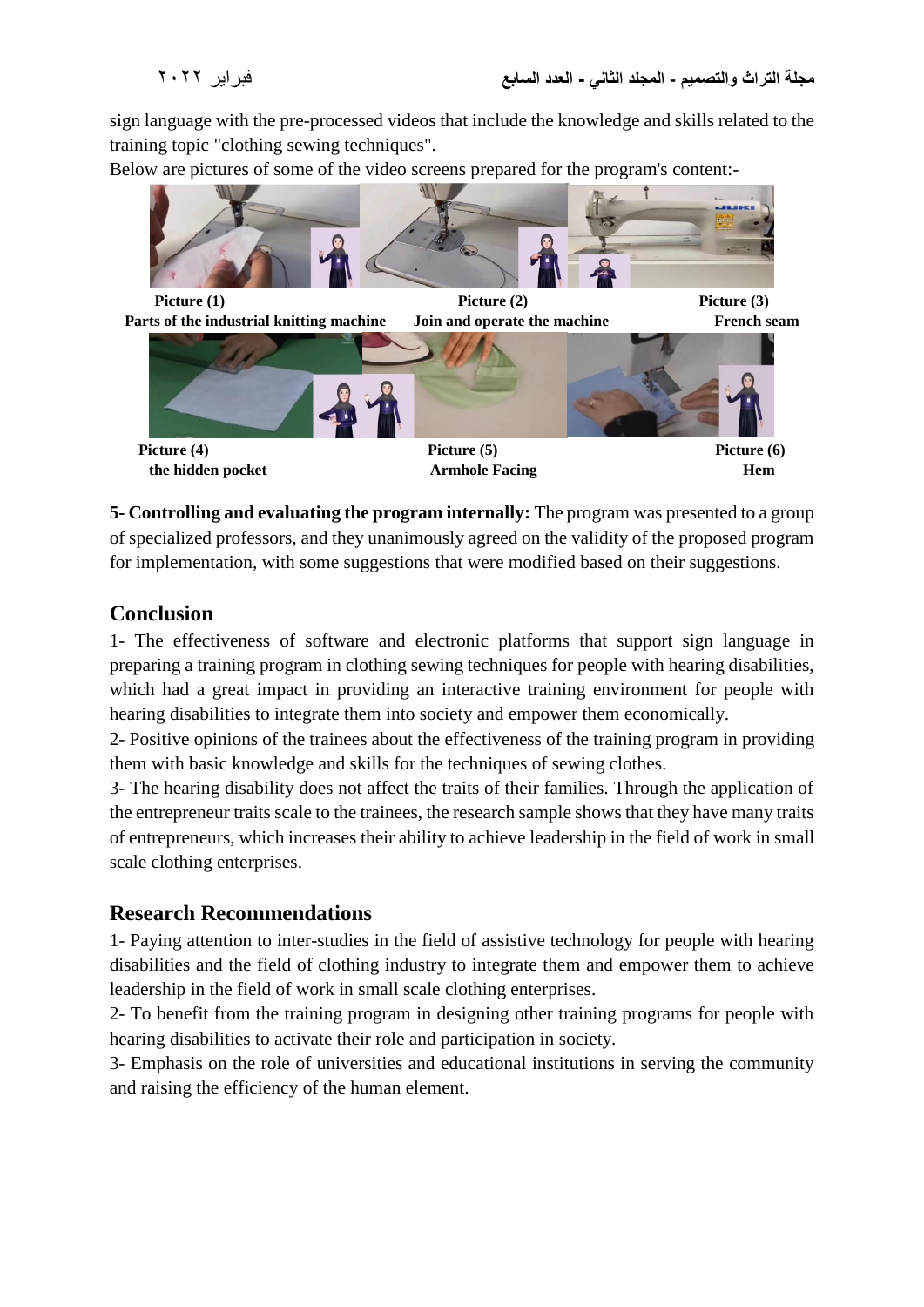sign language with the pre-processed videos that include the knowledge and skills related to the training topic "clothing sewing techniques".

Below are pictures of some of the video screens prepared for the program's content:-



**5- Controlling and evaluating the program internally:** The program was presented to a group of specialized professors, and they unanimously agreed on the validity of the proposed program for implementation, with some suggestions that were modified based on their suggestions.

### **Conclusion**

1- The effectiveness of software and electronic platforms that support sign language in preparing a training program in clothing sewing techniques for people with hearing disabilities, which had a great impact in providing an interactive training environment for people with hearing disabilities to integrate them into society and empower them economically.

2- Positive opinions of the trainees about the effectiveness of the training program in providing them with basic knowledge and skills for the techniques of sewing clothes.

3- The hearing disability does not affect the traits of their families. Through the application of the entrepreneur traits scale to the trainees, the research sample shows that they have many traits of entrepreneurs, which increases their ability to achieve leadership in the field of work in small scale clothing enterprises.

# **Research Recommendations**

1- Paying attention to inter-studies in the field of assistive technology for people with hearing disabilities and the field of clothing industry to integrate them and empower them to achieve leadership in the field of work in small scale clothing enterprises.

2- To benefit from the training program in designing other training programs for people with hearing disabilities to activate their role and participation in society.

3- Emphasis on the role of universities and educational institutions in serving the community and raising the efficiency of the human element.